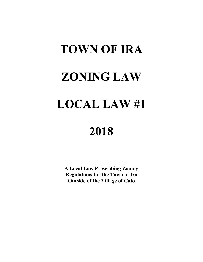# **TOWN OF IRA ZONING LAW LOCAL LAW #1**

## **2018**

**A Local Law Prescribing Zoning Regulations for the Town of Ira Outside of the Village of Cato**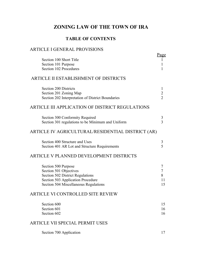### **ZONING LAW OF THE TOWN OF IRA**

#### **TABLE OF CONTENTS**

#### ARTICLE I GENERAL PROVISIONS

|                                                   | <u>Page</u>    |
|---------------------------------------------------|----------------|
| Section 100 Short Title<br>Section 101 Purpose    |                |
| Section 102 Procedures                            |                |
|                                                   |                |
| ARTICLE II ESTABLISHMENT OF DISTRICTS             |                |
| <b>Section 200 Districts</b>                      | 1              |
| Section 201 Zoning Map                            | $\overline{c}$ |
| Section 202 Interpretation of District Boundaries | $\overline{2}$ |
| ARTICLE III APPLICATION OF DISTRICT REGULATIONS   |                |
| Section 300 Conformity Required                   | 3              |
| Section 301 regulations to be Minimum and Uniform | $\overline{3}$ |
| ARTICLE IV AGRICULTURAL/RESIDENTIAL DISTRICT (AR) |                |
| Section 400 Structure and Uses                    | 3              |
| Section 401 AR Lot and Structure Requirements     | 5              |
| ARTICLE V PLANNED DEVELOPMENT DISTRICTS           |                |
| Section 500 Purpose                               | 7              |
| Section 501 Objectives                            | 7              |
| <b>Section 502 District Regulations</b>           | 8              |
| Section 503 Application Procedure                 | 11             |
| Section 504 Miscellaneous Regulations             | 15             |
| ARTICLE VI CONTROLLED SITE REVIEW                 |                |
| Section 600                                       | 15             |
| Section 601                                       | 16             |
| Section 602                                       | 16             |
| ARTICLE VII SPECIAL PERMIT USES                   |                |
| Section 700 Application                           | 17             |